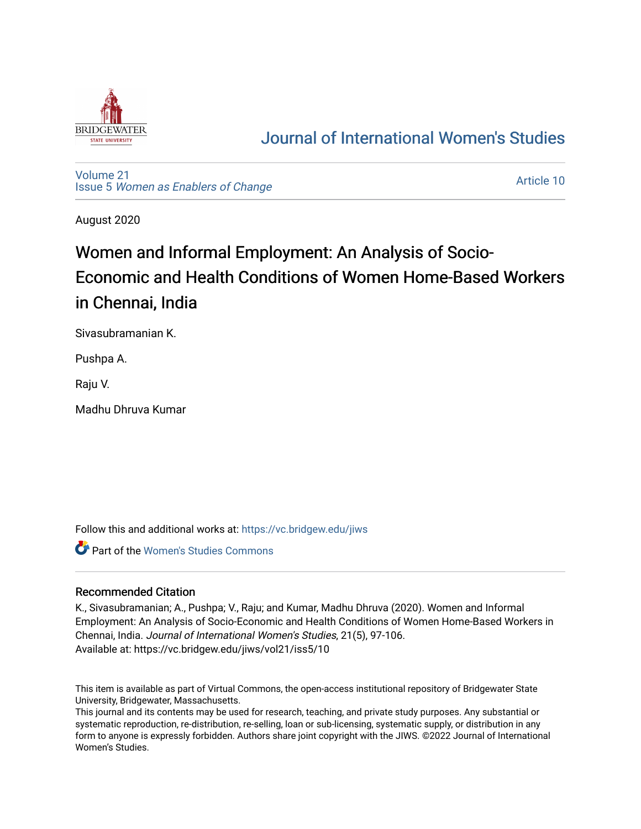

## [Journal of International Women's Studies](https://vc.bridgew.edu/jiws)

[Volume 21](https://vc.bridgew.edu/jiws/vol21) Issue 5 [Women as Enablers of Change](https://vc.bridgew.edu/jiws/vol21/iss5) 

[Article 10](https://vc.bridgew.edu/jiws/vol21/iss5/10) 

August 2020

# Women and Informal Employment: An Analysis of Socio-Economic and Health Conditions of Women Home-Based Workers in Chennai, India

Sivasubramanian K.

Pushpa A.

Raju V.

Madhu Dhruva Kumar

Follow this and additional works at: [https://vc.bridgew.edu/jiws](https://vc.bridgew.edu/jiws?utm_source=vc.bridgew.edu%2Fjiws%2Fvol21%2Fiss5%2F10&utm_medium=PDF&utm_campaign=PDFCoverPages)

**Part of the Women's Studies Commons** 

#### Recommended Citation

K., Sivasubramanian; A., Pushpa; V., Raju; and Kumar, Madhu Dhruva (2020). Women and Informal Employment: An Analysis of Socio-Economic and Health Conditions of Women Home-Based Workers in Chennai, India. Journal of International Women's Studies, 21(5), 97-106. Available at: https://vc.bridgew.edu/jiws/vol21/iss5/10

This item is available as part of Virtual Commons, the open-access institutional repository of Bridgewater State University, Bridgewater, Massachusetts.

This journal and its contents may be used for research, teaching, and private study purposes. Any substantial or systematic reproduction, re-distribution, re-selling, loan or sub-licensing, systematic supply, or distribution in any form to anyone is expressly forbidden. Authors share joint copyright with the JIWS. ©2022 Journal of International Women's Studies.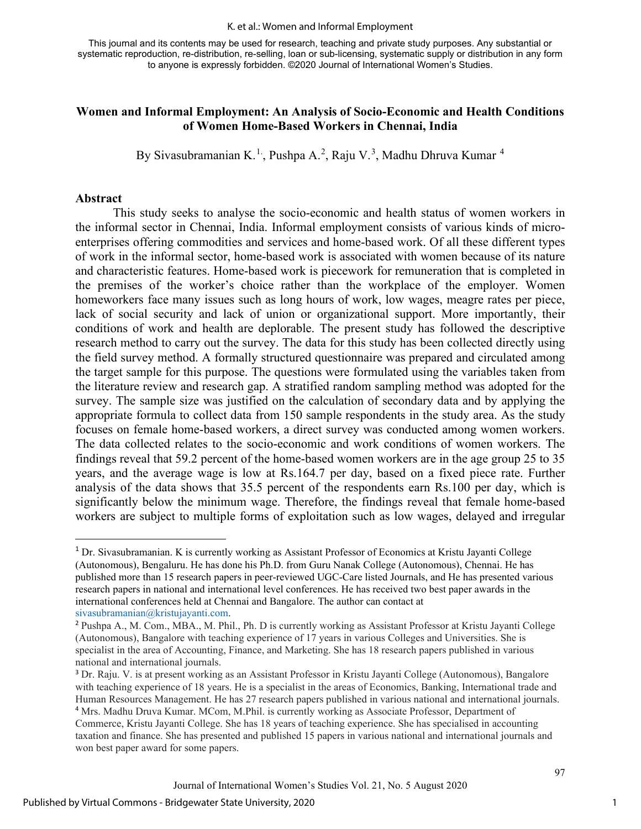#### K. et al.: Women and Informal Employment

This journal and its contents may be used for research, teaching and private study purposes. Any substantial or systematic reproduction, re-distribution, re-selling, loan or sub-licensing, systematic supply or distribution in any form to anyone is expressly forbidden. ©2020 Journal of International Women's Studies.

#### **Women and Informal Employment: An Analysis of Socio-Economic and Health Conditions of Women Home-Based Workers in Chennai, India**

By Sivasubramanian K.<sup>[1.](#page-1-0)</sup>, Pushpa A.<sup>[2](#page-1-1)</sup>, Raju V.<sup>[3](#page-1-2)</sup>, Madhu Dhruva Kumar <sup>[4](#page-1-3)</sup>

#### **Abstract**

This study seeks to analyse the socio-economic and health status of women workers in the informal sector in Chennai, India. Informal employment consists of various kinds of microenterprises offering commodities and services and home-based work. Of all these different types of work in the informal sector, home-based work is associated with women because of its nature and characteristic features. Home-based work is piecework for remuneration that is completed in the premises of the worker's choice rather than the workplace of the employer. Women homeworkers face many issues such as long hours of work, low wages, meagre rates per piece, lack of social security and lack of union or organizational support. More importantly, their conditions of work and health are deplorable. The present study has followed the descriptive research method to carry out the survey. The data for this study has been collected directly using the field survey method. A formally structured questionnaire was prepared and circulated among the target sample for this purpose. The questions were formulated using the variables taken from the literature review and research gap. A stratified random sampling method was adopted for the survey. The sample size was justified on the calculation of secondary data and by applying the appropriate formula to collect data from 150 sample respondents in the study area. As the study focuses on female home-based workers, a direct survey was conducted among women workers. The data collected relates to the socio-economic and work conditions of women workers. The findings reveal that 59.2 percent of the home-based women workers are in the age group 25 to 35 years, and the average wage is low at Rs.164.7 per day, based on a fixed piece rate. Further analysis of the data shows that 35.5 percent of the respondents earn Rs.100 per day, which is significantly below the minimum wage. Therefore, the findings reveal that female home-based workers are subject to multiple forms of exploitation such as low wages, delayed and irregular

1

<span id="page-1-0"></span><sup>1</sup> Dr. Sivasubramanian. K is currently working as Assistant Professor of Economics at Kristu Jayanti College (Autonomous), Bengaluru. He has done his Ph.D. from Guru Nanak College (Autonomous), Chennai. He has published more than 15 research papers in peer-reviewed UGC-Care listed Journals, and He has presented various research papers in national and international level conferences. He has received two best paper awards in the international conferences held at Chennai and Bangalore. The author can contact at [sivasubramanian@kristujayanti.com.](mailto:sivasubramanian@kristujayanti.com)

<span id="page-1-1"></span><sup>2</sup> Pushpa A., M. Com., MBA., M. Phil., Ph. D is currently working as Assistant Professor at Kristu Jayanti College (Autonomous), Bangalore with teaching experience of 17 years in various Colleges and Universities. She is specialist in the area of Accounting, Finance, and Marketing. She has 18 research papers published in various national and international journals.

<span id="page-1-3"></span><span id="page-1-2"></span><sup>3</sup> Dr. Raju. V. is at present working as an Assistant Professor in Kristu Jayanti College (Autonomous), Bangalore with teaching experience of 18 years. He is a specialist in the areas of Economics, Banking, International trade and Human Resources Management. He has 27 research papers published in various national and international journals. <sup>4</sup> Mrs. Madhu Druva Kumar. MCom, M.Phil. is currently working as Associate Professor, Department of Commerce, Kristu Jayanti College. She has 18 years of teaching experience. She has specialised in accounting taxation and finance. She has presented and published 15 papers in various national and international journals and won best paper award for some papers.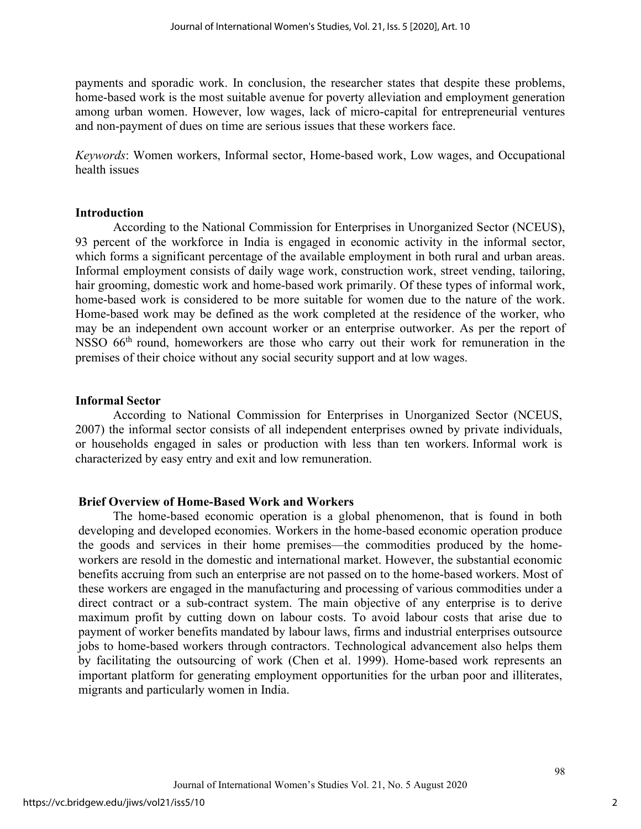payments and sporadic work. In conclusion, the researcher states that despite these problems, home-based work is the most suitable avenue for poverty alleviation and employment generation among urban women. However, low wages, lack of micro-capital for entrepreneurial ventures and non-payment of dues on time are serious issues that these workers face.

*Keywords*: Women workers, Informal sector, Home-based work, Low wages, and Occupational health issues

#### **Introduction**

According to the National Commission for Enterprises in Unorganized Sector (NCEUS), 93 percent of the workforce in India is engaged in economic activity in the informal sector, which forms a significant percentage of the available employment in both rural and urban areas. Informal employment consists of daily wage work, construction work, street vending, tailoring, hair grooming, domestic work and home-based work primarily. Of these types of informal work, home-based work is considered to be more suitable for women due to the nature of the work. Home-based work may be defined as the work completed at the residence of the worker, who may be an independent own account worker or an enterprise outworker. As per the report of NSSO 66<sup>th</sup> round, homeworkers are those who carry out their work for remuneration in the premises of their choice without any social security support and at low wages.

#### **Informal Sector**

According to National Commission for Enterprises in Unorganized Sector (NCEUS, 2007) the informal sector consists of all independent enterprises owned by private individuals, or households engaged in sales or production with less than ten workers. Informal work is characterized by easy entry and exit and low remuneration.

#### **Brief Overview of Home-Based Work and Workers**

The home-based economic operation is a global phenomenon, that is found in both developing and developed economies. Workers in the home-based economic operation produce the goods and services in their home premises—the commodities produced by the homeworkers are resold in the domestic and international market. However, the substantial economic benefits accruing from such an enterprise are not passed on to the home-based workers. Most of these workers are engaged in the manufacturing and processing of various commodities under a direct contract or a sub-contract system. The main objective of any enterprise is to derive maximum profit by cutting down on labour costs. To avoid labour costs that arise due to payment of worker benefits mandated by labour laws, firms and industrial enterprises outsource jobs to home-based workers through contractors. Technological advancement also helps them by facilitating the outsourcing of work (Chen et al. 1999). Home-based work represents an important platform for generating employment opportunities for the urban poor and illiterates, migrants and particularly women in India.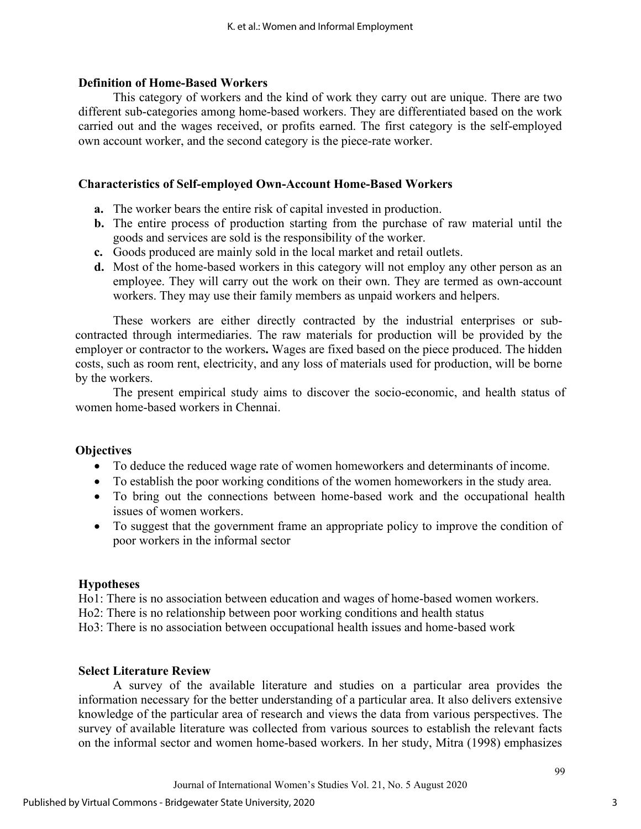#### **Definition of Home-Based Workers**

This category of workers and the kind of work they carry out are unique. There are two different sub-categories among home-based workers. They are differentiated based on the work carried out and the wages received, or profits earned. The first category is the self-employed own account worker, and the second category is the piece-rate worker.

#### **Characteristics of Self-employed Own-Account Home-Based Workers**

- **a.** The worker bears the entire risk of capital invested in production.
- **b.** The entire process of production starting from the purchase of raw material until the goods and services are sold is the responsibility of the worker.
- **c.** Goods produced are mainly sold in the local market and retail outlets.
- **d.** Most of the home-based workers in this category will not employ any other person as an employee. They will carry out the work on their own. They are termed as own-account workers. They may use their family members as unpaid workers and helpers.

These workers are either directly contracted by the industrial enterprises or subcontracted through intermediaries. The raw materials for production will be provided by the employer or contractor to the workers**.** Wages are fixed based on the piece produced. The hidden costs, such as room rent, electricity, and any loss of materials used for production, will be borne by the workers.

The present empirical study aims to discover the socio-economic, and health status of women home-based workers in Chennai.

#### **Objectives**

- To deduce the reduced wage rate of women homeworkers and determinants of income.
- To establish the poor working conditions of the women homeworkers in the study area.
- To bring out the connections between home-based work and the occupational health issues of women workers.
- To suggest that the government frame an appropriate policy to improve the condition of poor workers in the informal sector

#### **Hypotheses**

Ho1: There is no association between education and wages of home-based women workers. Ho2: There is no relationship between poor working conditions and health status Ho3: There is no association between occupational health issues and home-based work

#### **Select Literature Review**

A survey of the available literature and studies on a particular area provides the information necessary for the better understanding of a particular area. It also delivers extensive knowledge of the particular area of research and views the data from various perspectives. The survey of available literature was collected from various sources to establish the relevant facts on the informal sector and women home-based workers. In her study, Mitra (1998) emphasizes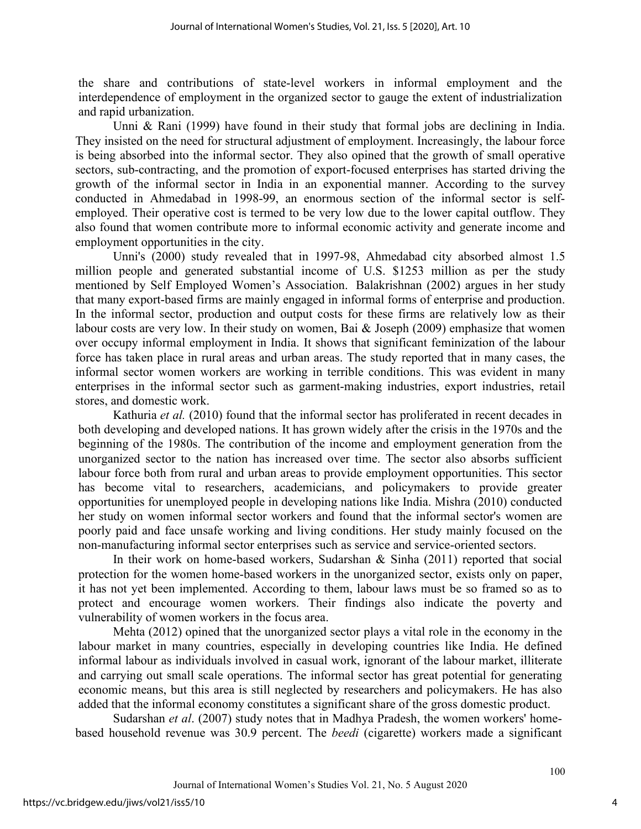the share and contributions of state-level workers in informal employment and the interdependence of employment in the organized sector to gauge the extent of industrialization and rapid urbanization.

Unni & Rani (1999) have found in their study that formal jobs are declining in India. They insisted on the need for structural adjustment of employment. Increasingly, the labour force is being absorbed into the informal sector. They also opined that the growth of small operative sectors, sub-contracting, and the promotion of export-focused enterprises has started driving the growth of the informal sector in India in an exponential manner. According to the survey conducted in Ahmedabad in 1998-99, an enormous section of the informal sector is selfemployed. Their operative cost is termed to be very low due to the lower capital outflow. They also found that women contribute more to informal economic activity and generate income and employment opportunities in the city.

Unni's (2000) study revealed that in 1997-98, Ahmedabad city absorbed almost 1.5 million people and generated substantial income of U.S. \$1253 million as per the study mentioned by Self Employed Women's Association. Balakrishnan (2002) argues in her study that many export-based firms are mainly engaged in informal forms of enterprise and production. In the informal sector, production and output costs for these firms are relatively low as their labour costs are very low. In their study on women, Bai & Joseph (2009) emphasize that women over occupy informal employment in India. It shows that significant feminization of the labour force has taken place in rural areas and urban areas. The study reported that in many cases, the informal sector women workers are working in terrible conditions. This was evident in many enterprises in the informal sector such as garment-making industries, export industries, retail stores, and domestic work.

Kathuria *et al.* (2010) found that the informal sector has proliferated in recent decades in both developing and developed nations. It has grown widely after the crisis in the 1970s and the beginning of the 1980s. The contribution of the income and employment generation from the unorganized sector to the nation has increased over time. The sector also absorbs sufficient labour force both from rural and urban areas to provide employment opportunities. This sector has become vital to researchers, academicians, and policymakers to provide greater opportunities for unemployed people in developing nations like India. Mishra (2010) conducted her study on women informal sector workers and found that the informal sector's women are poorly paid and face unsafe working and living conditions. Her study mainly focused on the non-manufacturing informal sector enterprises such as service and service-oriented sectors.

In their work on home-based workers, Sudarshan & Sinha (2011) reported that social protection for the women home-based workers in the unorganized sector, exists only on paper, it has not yet been implemented. According to them, labour laws must be so framed so as to protect and encourage women workers. Their findings also indicate the poverty and vulnerability of women workers in the focus area.

Mehta (2012) opined that the unorganized sector plays a vital role in the economy in the labour market in many countries, especially in developing countries like India. He defined informal labour as individuals involved in casual work, ignorant of the labour market, illiterate and carrying out small scale operations. The informal sector has great potential for generating economic means, but this area is still neglected by researchers and policymakers. He has also added that the informal economy constitutes a significant share of the gross domestic product.

Sudarshan *et al*. (2007) study notes that in Madhya Pradesh, the women workers' homebased household revenue was 30.9 percent. The *beedi* (cigarette) workers made a significant

4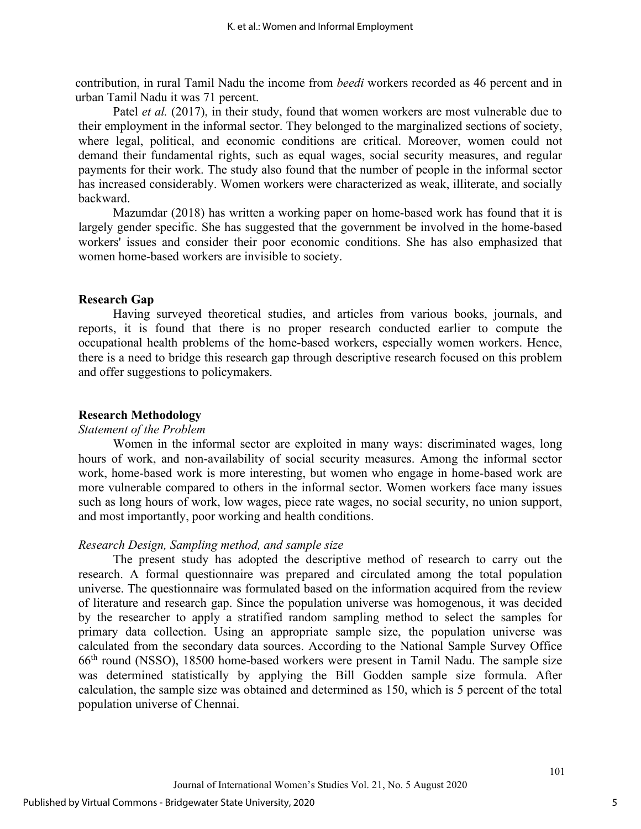contribution, in rural Tamil Nadu the income from *beedi* workers recorded as 46 percent and in urban Tamil Nadu it was 71 percent.

Patel *et al.* (2017), in their study, found that women workers are most vulnerable due to their employment in the informal sector. They belonged to the marginalized sections of society, where legal, political, and economic conditions are critical. Moreover, women could not demand their fundamental rights, such as equal wages, social security measures, and regular payments for their work. The study also found that the number of people in the informal sector has increased considerably. Women workers were characterized as weak, illiterate, and socially backward.

Mazumdar (2018) has written a working paper on home-based work has found that it is largely gender specific. She has suggested that the government be involved in the home-based workers' issues and consider their poor economic conditions. She has also emphasized that women home-based workers are invisible to society.

#### **Research Gap**

Having surveyed theoretical studies, and articles from various books, journals, and reports, it is found that there is no proper research conducted earlier to compute the occupational health problems of the home-based workers, especially women workers. Hence, there is a need to bridge this research gap through descriptive research focused on this problem and offer suggestions to policymakers.

#### **Research Methodology**

#### *Statement of the Problem*

Women in the informal sector are exploited in many ways: discriminated wages, long hours of work, and non-availability of social security measures. Among the informal sector work, home-based work is more interesting, but women who engage in home-based work are more vulnerable compared to others in the informal sector. Women workers face many issues such as long hours of work, low wages, piece rate wages, no social security, no union support, and most importantly, poor working and health conditions.

#### *Research Design, Sampling method, and sample size*

The present study has adopted the descriptive method of research to carry out the research. A formal questionnaire was prepared and circulated among the total population universe. The questionnaire was formulated based on the information acquired from the review of literature and research gap. Since the population universe was homogenous, it was decided by the researcher to apply a stratified random sampling method to select the samples for primary data collection. Using an appropriate sample size, the population universe was calculated from the secondary data sources. According to the National Sample Survey Office 66th round (NSSO), 18500 home-based workers were present in Tamil Nadu. The sample size was determined statistically by applying the Bill Godden sample size formula. After calculation, the sample size was obtained and determined as 150, which is 5 percent of the total population universe of Chennai.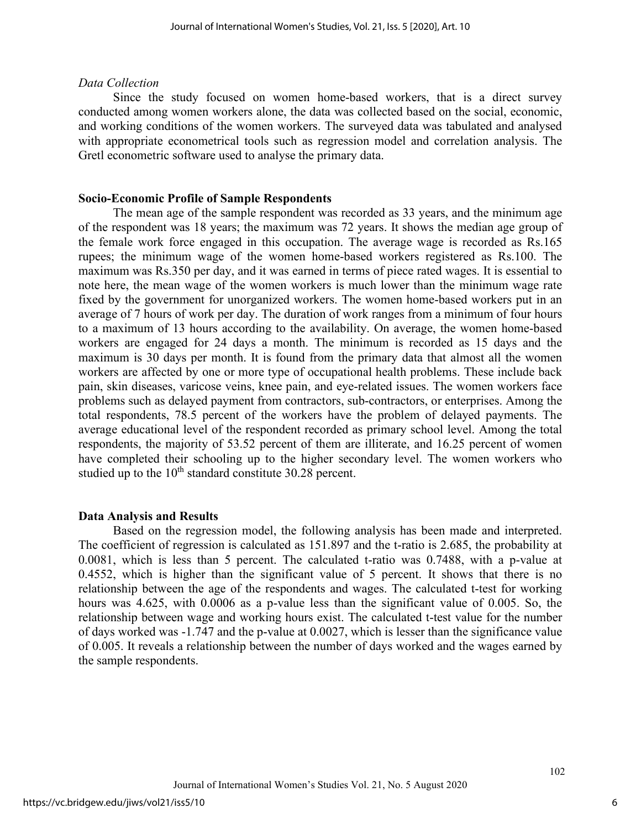#### *Data Collection*

Since the study focused on women home-based workers, that is a direct survey conducted among women workers alone, the data was collected based on the social, economic, and working conditions of the women workers. The surveyed data was tabulated and analysed with appropriate econometrical tools such as regression model and correlation analysis. The Gretl econometric software used to analyse the primary data.

#### **Socio-Economic Profile of Sample Respondents**

The mean age of the sample respondent was recorded as 33 years, and the minimum age of the respondent was 18 years; the maximum was 72 years. It shows the median age group of the female work force engaged in this occupation. The average wage is recorded as Rs.165 rupees; the minimum wage of the women home-based workers registered as Rs.100. The maximum was Rs.350 per day, and it was earned in terms of piece rated wages. It is essential to note here, the mean wage of the women workers is much lower than the minimum wage rate fixed by the government for unorganized workers. The women home-based workers put in an average of 7 hours of work per day. The duration of work ranges from a minimum of four hours to a maximum of 13 hours according to the availability. On average, the women home-based workers are engaged for 24 days a month. The minimum is recorded as 15 days and the maximum is 30 days per month. It is found from the primary data that almost all the women workers are affected by one or more type of occupational health problems. These include back pain, skin diseases, varicose veins, knee pain, and eye-related issues. The women workers face problems such as delayed payment from contractors, sub-contractors, or enterprises. Among the total respondents, 78.5 percent of the workers have the problem of delayed payments. The average educational level of the respondent recorded as primary school level. Among the total respondents, the majority of 53.52 percent of them are illiterate, and 16.25 percent of women have completed their schooling up to the higher secondary level. The women workers who studied up to the  $10^{th}$  standard constitute 30.28 percent.

#### **Data Analysis and Results**

Based on the regression model, the following analysis has been made and interpreted. The coefficient of regression is calculated as 151.897 and the t-ratio is 2.685, the probability at 0.0081, which is less than 5 percent. The calculated t-ratio was 0.7488, with a p-value at 0.4552, which is higher than the significant value of 5 percent. It shows that there is no relationship between the age of the respondents and wages. The calculated t-test for working hours was 4.625, with 0.0006 as a p-value less than the significant value of 0.005. So, the relationship between wage and working hours exist. The calculated t-test value for the number of days worked was -1.747 and the p-value at 0.0027, which is lesser than the significance value of 0.005. It reveals a relationship between the number of days worked and the wages earned by the sample respondents.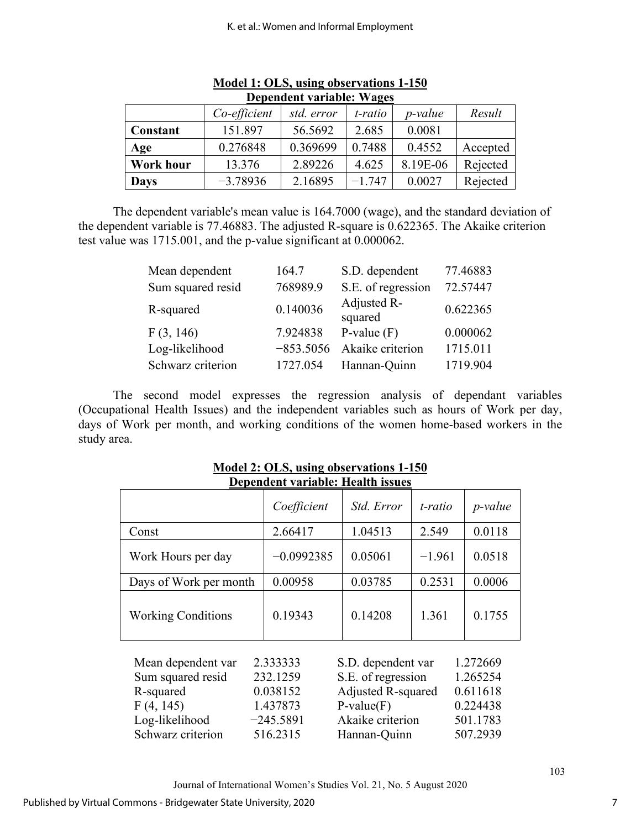| DUPURULII VALIADIU. VVAEUS |              |            |          |                 |          |  |  |  |  |
|----------------------------|--------------|------------|----------|-----------------|----------|--|--|--|--|
|                            | Co-efficient | std. error | t-ratio  | <i>p</i> -value | Result   |  |  |  |  |
| Constant                   | 151.897      | 56.5692    | 2.685    | 0.0081          |          |  |  |  |  |
| Age                        | 0.276848     | 0.369699   | 0.7488   | 0.4552          | Accepted |  |  |  |  |
| <b>Work hour</b>           | 13.376       | 2.89226    | 4.625    | 8.19E-06        | Rejected |  |  |  |  |
| <b>Days</b>                | $-3.78936$   | 2.16895    | $-1.747$ | 0.0027          | Rejected |  |  |  |  |

| Model 1: OLS, using observations 1-150 |  |
|----------------------------------------|--|
| Dependent variable: Wages              |  |

 The dependent variable's mean value is 164.7000 (wage), and the standard deviation of the dependent variable is 77.46883. The adjusted R-square is 0.622365. The Akaike criterion test value was 1715.001, and the p-value significant at 0.000062.

| 164.7       | S.D. dependent         | 77.46883         |
|-------------|------------------------|------------------|
| 768989.9    | S.E. of regression     | 72.57447         |
| 0.140036    | Adjusted R-<br>squared | 0.622365         |
| 7.924838    | P-value $(F)$          | 0.000062         |
| $-853.5056$ |                        | 1715.011         |
| 1727.054    | Hannan-Quinn           | 1719.904         |
|             |                        | Akaike criterion |

The second model expresses the regression analysis of dependant variables (Occupational Health Issues) and the independent variables such as hours of Work per day, days of Work per month, and working conditions of the women home-based workers in the study area.

|                                                                                                          | Coefficient                                                             | Std. Error                                                                                                         | t-ratio  | $p$ -value                                                           |
|----------------------------------------------------------------------------------------------------------|-------------------------------------------------------------------------|--------------------------------------------------------------------------------------------------------------------|----------|----------------------------------------------------------------------|
| Const                                                                                                    | 2.66417                                                                 | 1.04513                                                                                                            | 2.549    | 0.0118                                                               |
| Work Hours per day                                                                                       | $-0.0992385$                                                            | 0.05061                                                                                                            | $-1.961$ | 0.0518                                                               |
| Days of Work per month                                                                                   | 0.00958                                                                 | 0.03785                                                                                                            | 0.2531   | 0.0006                                                               |
| <b>Working Conditions</b>                                                                                | 0.19343                                                                 | 0.14208                                                                                                            | 1.361    | 0.1755                                                               |
| Mean dependent var<br>Sum squared resid<br>R-squared<br>F(4, 145)<br>Log-likelihood<br>Schwarz criterion | 2.333333<br>232.1259<br>0.038152<br>1.437873<br>$-245.5891$<br>516.2315 | S.D. dependent var<br>S.E. of regression<br>Adjusted R-squared<br>$P-value(F)$<br>Akaike criterion<br>Hannan-Quinn |          | 1.272669<br>1.265254<br>0.611618<br>0.224438<br>501.1783<br>507.2939 |

**Model 2: OLS, using observations 1-150 Dependent variable: Health issues**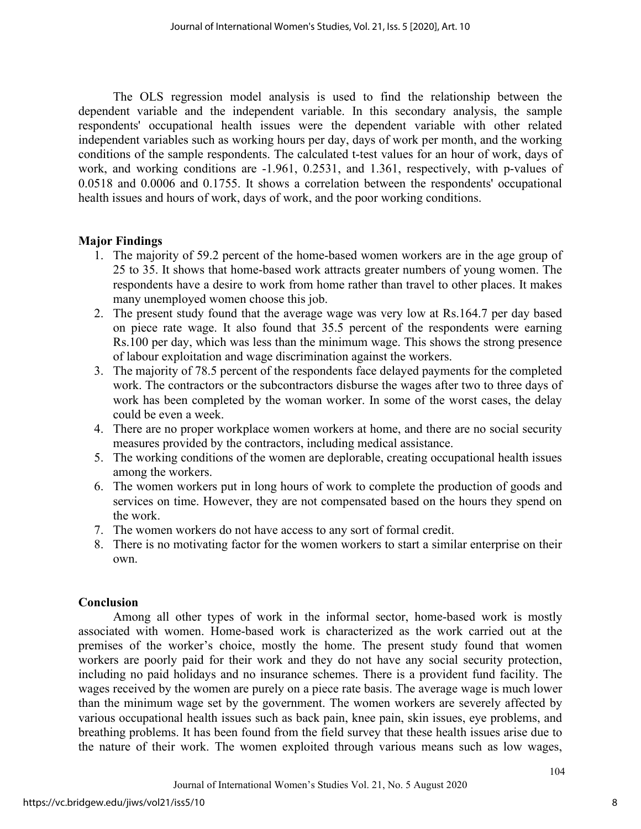The OLS regression model analysis is used to find the relationship between the dependent variable and the independent variable. In this secondary analysis, the sample respondents' occupational health issues were the dependent variable with other related independent variables such as working hours per day, days of work per month, and the working conditions of the sample respondents. The calculated t-test values for an hour of work, days of work, and working conditions are -1.961, 0.2531, and 1.361, respectively, with p-values of 0.0518 and 0.0006 and 0.1755. It shows a correlation between the respondents' occupational health issues and hours of work, days of work, and the poor working conditions.

### **Major Findings**

- 1. The majority of 59.2 percent of the home-based women workers are in the age group of 25 to 35. It shows that home-based work attracts greater numbers of young women. The respondents have a desire to work from home rather than travel to other places. It makes many unemployed women choose this job.
- 2. The present study found that the average wage was very low at Rs.164.7 per day based on piece rate wage. It also found that 35.5 percent of the respondents were earning Rs.100 per day, which was less than the minimum wage. This shows the strong presence of labour exploitation and wage discrimination against the workers.
- 3. The majority of 78.5 percent of the respondents face delayed payments for the completed work. The contractors or the subcontractors disburse the wages after two to three days of work has been completed by the woman worker. In some of the worst cases, the delay could be even a week.
- 4. There are no proper workplace women workers at home, and there are no social security measures provided by the contractors, including medical assistance.
- 5. The working conditions of the women are deplorable, creating occupational health issues among the workers.
- 6. The women workers put in long hours of work to complete the production of goods and services on time. However, they are not compensated based on the hours they spend on the work.
- 7. The women workers do not have access to any sort of formal credit.
- 8. There is no motivating factor for the women workers to start a similar enterprise on their own.

### **Conclusion**

Among all other types of work in the informal sector, home-based work is mostly associated with women. Home-based work is characterized as the work carried out at the premises of the worker's choice, mostly the home. The present study found that women workers are poorly paid for their work and they do not have any social security protection, including no paid holidays and no insurance schemes. There is a provident fund facility. The wages received by the women are purely on a piece rate basis. The average wage is much lower than the minimum wage set by the government. The women workers are severely affected by various occupational health issues such as back pain, knee pain, skin issues, eye problems, and breathing problems. It has been found from the field survey that these health issues arise due to the nature of their work. The women exploited through various means such as low wages,

8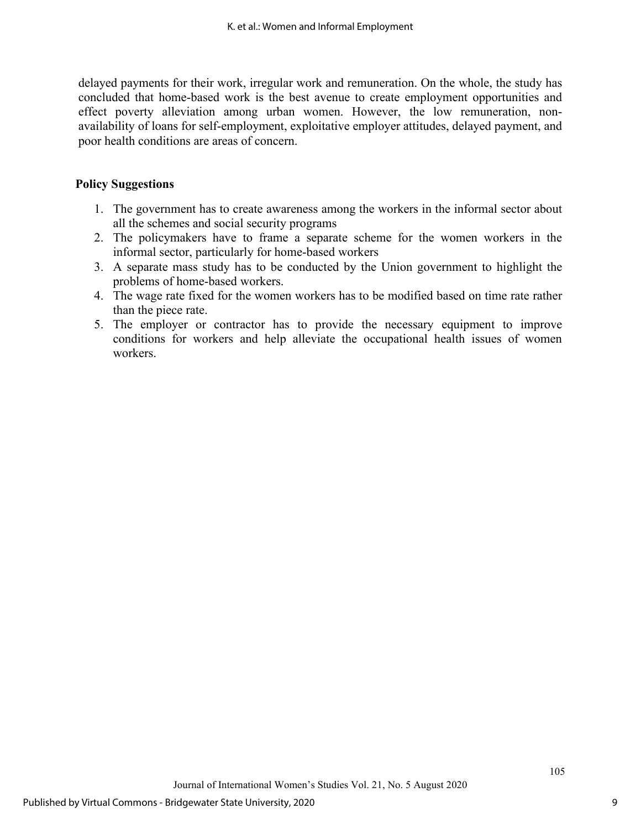delayed payments for their work, irregular work and remuneration. On the whole, the study has concluded that home-based work is the best avenue to create employment opportunities and effect poverty alleviation among urban women. However, the low remuneration, nonavailability of loans for self-employment, exploitative employer attitudes, delayed payment, and poor health conditions are areas of concern.

#### **Policy Suggestions**

- 1. The government has to create awareness among the workers in the informal sector about all the schemes and social security programs
- 2. The policymakers have to frame a separate scheme for the women workers in the informal sector, particularly for home-based workers
- 3. A separate mass study has to be conducted by the Union government to highlight the problems of home-based workers.
- 4. The wage rate fixed for the women workers has to be modified based on time rate rather than the piece rate.
- 5. The employer or contractor has to provide the necessary equipment to improve conditions for workers and help alleviate the occupational health issues of women workers.